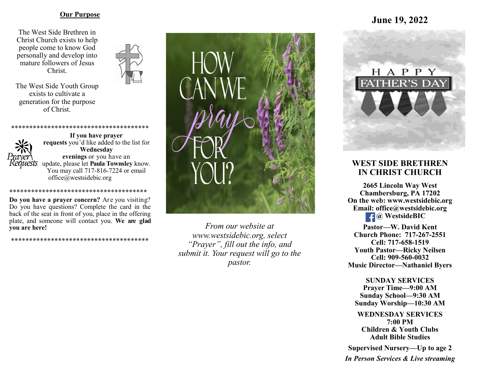#### **Our Purpose**

The West Side Brethren in Christ Church exists to help people come to know God personally and develop into mature followers of Jesus Christ.



The West Side Youth Group exists to cultivate a generation for the purpose of Christ.



\*\*\*\*\*\*\*\*\*\*\*\*\*\*\*\*\*\*\*

**Do you have a prayer concern?** Are you visiting? Do you have questions? Complete the card in the back of the seat in front of you, place in the offering plate, and someone will contact you. **We are glad you are here!**

\*\*\*\*\*\*\*\*\*\*\*\*\*\*\*\*\*\*\*\*\*\*\*\*\*\*\*\*\*\*\*\*\*\*\*\*\*\*



*From our website at www.westsidebic.org, select "Prayer", fill out the info, and submit it. Your request will go to the pastor.*

# **June 19, 2022**



## **WEST SIDE BRETHREN IN CHRIST CHURCH**

**2665 Lincoln Way West Chambersburg, PA 17202 On the web: [www.westsidebic.org](http://www.westsidebic.org) Email: office@westsidebic.org** *C* WestsideBIC

**Pastor—W. David Kent Church Phone: 717-267-2551 Cell: 717-658-1519 Youth Pastor—Ricky Neilsen Cell: 909-560-0032 Music Director—Nathaniel Byers**

**SUNDAY SERVICES Prayer Time—9:00 AM Sunday School—9:30 AM Sunday Worship—10:30 AM**

**WEDNESDAY SERVICES 7:00 PM Children & Youth Clubs Adult Bible Studies**

**Supervised Nursery—Up to age 2**

*In Person Services & Live streaming*